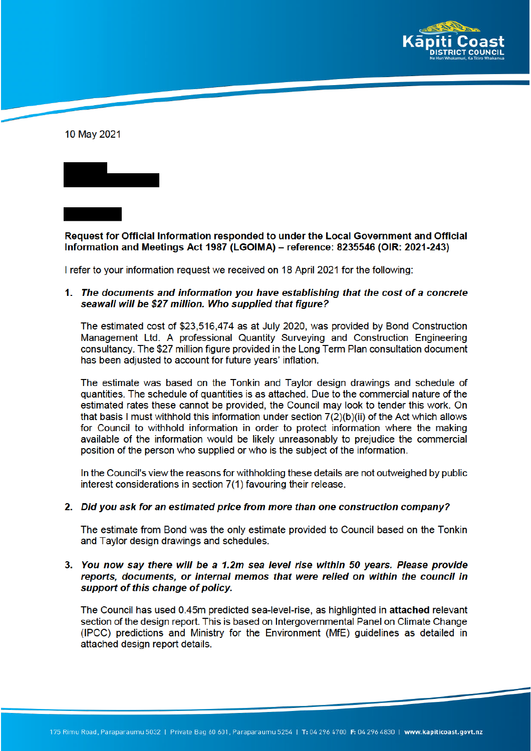

10 May 2021

Request for Official Information responded to under the Local Government and Official Information and Meetings Act 1987 (LGOIMA) – reference: 8235546 (OIR: 2021-243)

I refer to your information request we received on 18 April 2021 for the following:

1. The documents and information you have establishing that the cost of a concrete seawall will be \$27 million. Who supplied that figure?

The estimated cost of \$23,516,474 as at July 2020, was provided by Bond Construction Management Ltd. A professional Quantity Surveying and Construction Engineering consultancy. The \$27 million figure provided in the Long Term Plan consultation document has been adjusted to account for future years' inflation.

The estimate was based on the Tonkin and Taylor design drawings and schedule of quantities. The schedule of quantities is as attached. Due to the commercial nature of the estimated rates these cannot be provided, the Council may look to tender this work. On that basis I must withhold this information under section 7(2)(b)(ii) of the Act which allows for Council to withhold information in order to protect information where the making available of the information would be likely unreasonably to prejudice the commercial position of the person who supplied or who is the subject of the information.

In the Council's view the reasons for withholding these details are not outweighed by public interest considerations in section 7(1) favouring their release.

## 2. Did you ask for an estimated price from more than one construction company?

The estimate from Bond was the only estimate provided to Council based on the Tonkin and Taylor design drawings and schedules.

# 3. You now say there will be a 1.2m sea level rise within 50 years. Please provide reports, documents, or internal memos that were relied on within the council in support of this change of policy.

The Council has used 0.45m predicted sea-level-rise, as highlighted in attached relevant section of the design report. This is based on Intergovernmental Panel on Climate Change (IPCC) predictions and Ministry for the Environment (MfE) quidelines as detailed in attached design report details.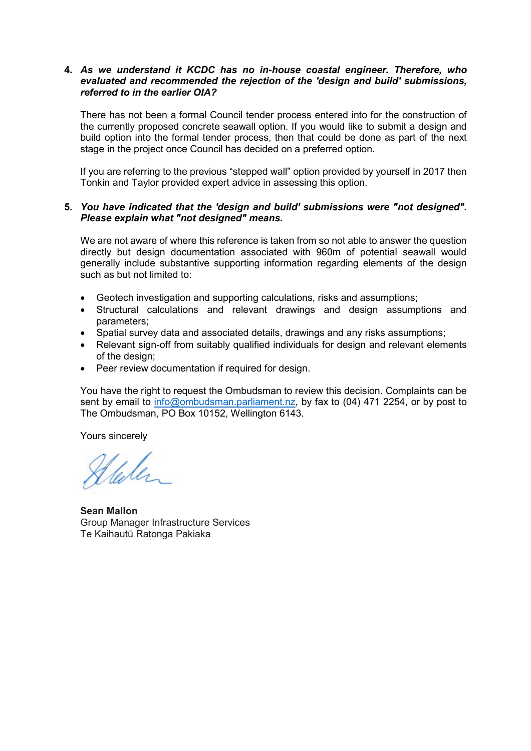## **4.** *As we understand it KCDC has no in-house coastal engineer. Therefore, who evaluated and recommended the rejection of the 'design and build' submissions, referred to in the earlier OIA?*

There has not been a formal Council tender process entered into for the construction of the currently proposed concrete seawall option. If you would like to submit a design and build option into the formal tender process, then that could be done as part of the next stage in the project once Council has decided on a preferred option.

If you are referring to the previous "stepped wall" option provided by yourself in 2017 then Tonkin and Taylor provided expert advice in assessing this option.

# **5.** *You have indicated that the 'design and build' submissions were "not designed". Please explain what "not designed" means.*

We are not aware of where this reference is taken from so not able to answer the question directly but design documentation associated with 960m of potential seawall would generally include substantive supporting information regarding elements of the design such as but not limited to:

- Geotech investigation and supporting calculations, risks and assumptions;
- Structural calculations and relevant drawings and design assumptions and parameters;
- Spatial survey data and associated details, drawings and any risks assumptions;
- Relevant sign-off from suitably qualified individuals for design and relevant elements of the design;
- Peer review documentation if required for design.

You have the right to request the Ombudsman to review this decision. Complaints can be sent by email to info@ombudsman.parliament.nz, by fax to (04) 471 2254, or by post to The Ombudsman, PO Box 10152, Wellington 6143.

Yours sincerely

Wele

**Sean Mallon** Group Manager Infrastructure Services Te Kaihautū Ratonga Pakiaka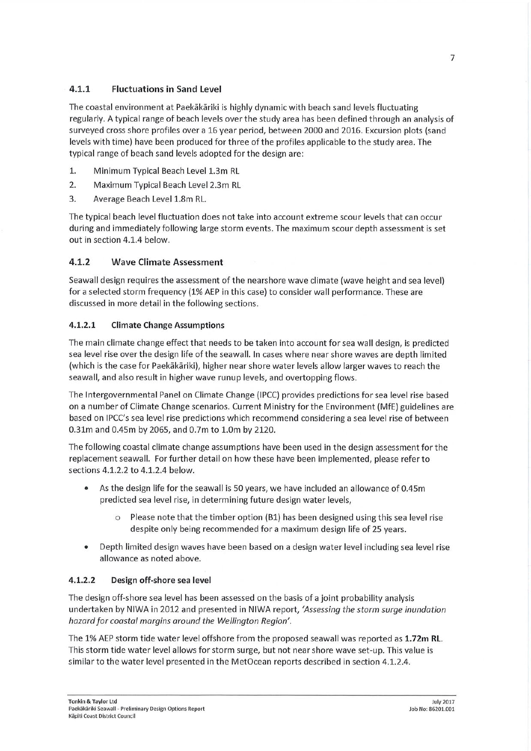### $4.1.1$ **Fluctuations in Sand Level**

The coastal environment at Paekākāriki is highly dynamic with beach sand levels fluctuating regularly. A typical range of beach levels over the study area has been defined through an analysis of surveyed cross shore profiles over a 16 year period, between 2000 and 2016. Excursion plots (sand levels with time) have been produced for three of the profiles applicable to the study area. The typical range of beach sand levels adopted for the design are:

- $1.$ Minimum Typical Beach Level 1.3m RL
- $2.$ Maximum Typical Beach Level 2.3m RL
- 3. Average Beach Level 1.8m RL.

The typical beach level fluctuation does not take into account extreme scour levels that can occur during and immediately following large storm events. The maximum scour depth assessment is set out in section 4.1.4 below.

#### $4.1.2$ **Wave Climate Assessment**

Seawall design requires the assessment of the nearshore wave climate (wave height and sea level) for a selected storm frequency (1% AEP in this case) to consider wall performance. These are discussed in more detail in the following sections.

#### $4.1.2.1$ **Climate Change Assumptions**

The main climate change effect that needs to be taken into account for sea wall design, is predicted sea level rise over the design life of the seawall. In cases where near shore waves are depth limited (which is the case for Paekākāriki), higher near shore water levels allow larger waves to reach the seawall, and also result in higher wave runup levels, and overtopping flows.

The Intergovernmental Panel on Climate Change (IPCC) provides predictions for sea level rise based on a number of Climate Change scenarios. Current Ministry for the Environment (MfE) guidelines are based on IPCC's sea level rise predictions which recommend considering a sea level rise of between 0.31m and 0.45m by 2065, and 0.7m to 1.0m by 2120.

The following coastal climate change assumptions have been used in the design assessment for the replacement seawall. For further detail on how these have been implemented, please refer to sections 4.1.2.2 to 4.1.2.4 below.

- As the design life for the seawall is 50 years, we have included an allowance of 0.45m predicted sea level rise, in determining future design water levels,
	- $\Omega$ Please note that the timber option (B1) has been designed using this sea level rise despite only being recommended for a maximum design life of 25 years.
- Depth limited design waves have been based on a design water level including sea level rise allowance as noted above.

#### $4.1.2.2$ Design off-shore sea level

The design off-shore sea level has been assessed on the basis of a joint probability analysis undertaken by NIWA in 2012 and presented in NIWA report, 'Assessing the storm surge inundation hazard for coastal margins around the Wellington Region'.

The 1% AEP storm tide water level offshore from the proposed seawall was reported as 1.72m RL. This storm tide water level allows for storm surge, but not near shore wave set-up. This value is similar to the water level presented in the MetOcean reports described in section 4.1.2.4.